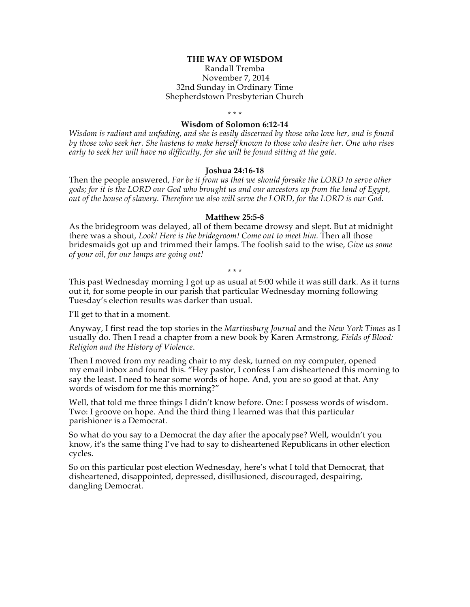# **THE WAY OF WISDOM**

# Randall Tremba November 7, 2014 32nd Sunday in Ordinary Time Shepherdstown Presbyterian Church

#### \* \* \*

# **Wisdom of Solomon 6:12-14**

*Wisdom is radiant and unfading, and she is easily discerned by those who love her, and is found by those who seek her. She hastens to make herself known to those who desire her. One who rises early to seek her will have no difficulty, for she will be found sitting at the gate.*

#### **Joshua 24:16-18**

Then the people answered, *Far be it from us that we should forsake the LORD to serve other gods; for it is the LORD our God who brought us and our ancestors up from the land of Egypt, out of the house of slavery. Therefore we also will serve the LORD, for the LORD is our God.*

### **Matthew 25:5-8**

As the bridegroom was delayed, all of them became drowsy and slept. But at midnight there was a shout, *Look! Here is the bridegroom! Come out to meet him.* Then all those bridesmaids got up and trimmed their lamps. The foolish said to the wise, *Give us some of your oil, for our lamps are going out!*

#### \* \* \*

This past Wednesday morning I got up as usual at 5:00 while it was still dark. As it turns out it, for some people in our parish that particular Wednesday morning following Tuesday's election results was darker than usual.

I'll get to that in a moment.

Anyway, I first read the top stories in the *Martinsburg Journal* and the *New York Times* as I usually do. Then I read a chapter from a new book by Karen Armstrong, *Fields of Blood: Religion and the History of Violence*.

Then I moved from my reading chair to my desk, turned on my computer, opened my email inbox and found this. "Hey pastor, I confess I am disheartened this morning to say the least. I need to hear some words of hope. And, you are so good at that. Any words of wisdom for me this morning?"

Well, that told me three things I didn't know before. One: I possess words of wisdom. Two: I groove on hope. And the third thing I learned was that this particular parishioner is a Democrat.

So what do you say to a Democrat the day after the apocalypse? Well, wouldn't you know, it's the same thing I've had to say to disheartened Republicans in other election cycles.

So on this particular post election Wednesday, here's what I told that Democrat, that disheartened, disappointed, depressed, disillusioned, discouraged, despairing, dangling Democrat.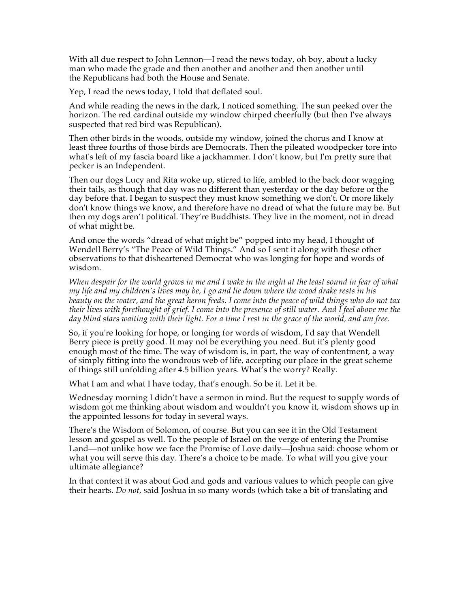With all due respect to John Lennon—I read the news today, oh boy, about a lucky man who made the grade and then another and another and then another until the Republicans had both the House and Senate.

Yep, I read the news today, I told that deflated soul.

And while reading the news in the dark, I noticed something. The sun peeked over the horizon. The red cardinal outside my window chirped cheerfully (but then I've always suspected that red bird was Republican).

Then other birds in the woods, outside my window, joined the chorus and I know at least three fourths of those birds are Democrats. Then the pileated woodpecker tore into what's left of my fascia board like a jackhammer. I don't know, but I'm pretty sure that pecker is an Independent.

Then our dogs Lucy and Rita woke up, stirred to life, ambled to the back door wagging their tails, as though that day was no different than yesterday or the day before or the day before that. I began to suspect they must know something we don't. Or more likely don't know things we know, and therefore have no dread of what the future may be. But then my dogs aren't political. They're Buddhists. They live in the moment, not in dread of what might be.

And once the words "dread of what might be" popped into my head, I thought of Wendell Berry's "The Peace of Wild Things." And so I sent it along with these other observations to that disheartened Democrat who was longing for hope and words of wisdom.

*When despair for the world grows in me and I wake in the night at the least sound in fear of what my life and my children's lives may be, I go and lie down where the wood drake rests in his beauty on the water, and the great heron feeds. I come into the peace of wild things who do not tax their lives with forethought of grief. I come into the presence of still water. And I feel above me the day blind stars waiting with their light. For a time I rest in the grace of the world, and am free.*

So, if you're looking for hope, or longing for words of wisdom, I'd say that Wendell Berry piece is pretty good. It may not be everything you need. But it's plenty good enough most of the time. The way of wisdom is, in part, the way of contentment, a way of simply fitting into the wondrous web of life, accepting our place in the great scheme of things still unfolding after 4.5 billion years. What's the worry? Really.

What I am and what I have today, that's enough. So be it. Let it be.

Wednesday morning I didn't have a sermon in mind. But the request to supply words of wisdom got me thinking about wisdom and wouldn't you know it, wisdom shows up in the appointed lessons for today in several ways.

There's the Wisdom of Solomon, of course. But you can see it in the Old Testament lesson and gospel as well. To the people of Israel on the verge of entering the Promise Land—not unlike how we face the Promise of Love daily—Joshua said: choose whom or what you will serve this day. There's a choice to be made. To what will you give your ultimate allegiance?

In that context it was about God and gods and various values to which people can give their hearts. *Do not,* said Joshua in so many words (which take a bit of translating and